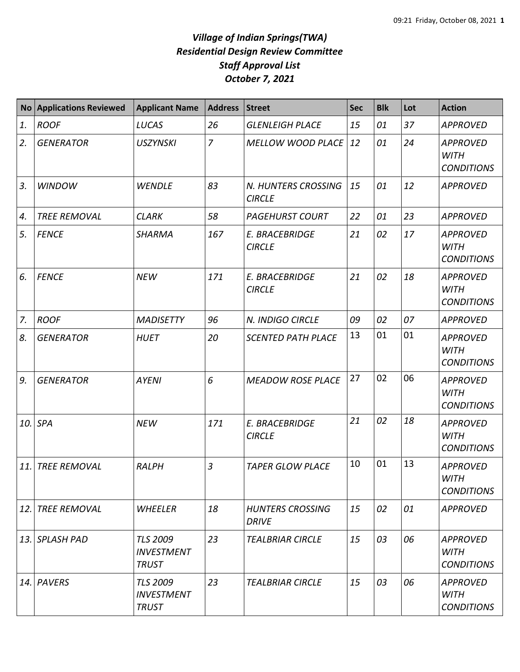## *Village of Indian Springs(TWA) Residential Design Review Committee Staff Approval List October 7, 2021*

| <b>No</b>   | <b>Applications Reviewed</b> | <b>Applicant Name</b>                                | <b>Address</b> | <b>Street</b>                           | <b>Sec</b> | <b>Blk</b> | Lot | <b>Action</b>                                       |
|-------------|------------------------------|------------------------------------------------------|----------------|-----------------------------------------|------------|------------|-----|-----------------------------------------------------|
| 1.          | <b>ROOF</b>                  | LUCAS                                                | 26             | <b>GLENLEIGH PLACE</b>                  | 15         | 01         | 37  | <b>APPROVED</b>                                     |
| 2.          | <b>GENERATOR</b>             | <b>USZYNSKI</b>                                      | $\overline{7}$ | <b>MELLOW WOOD PLACE</b>                | 12         | 01         | 24  | <b>APPROVED</b><br><b>WITH</b><br><b>CONDITIONS</b> |
| 3.          | <b>WINDOW</b>                | <b>WENDLE</b>                                        | 83             | N. HUNTERS CROSSING<br><b>CIRCLE</b>    | 15         | 01         | 12  | <b>APPROVED</b>                                     |
| 4.          | <b>TREE REMOVAL</b>          | <b>CLARK</b>                                         | 58             | <b>PAGEHURST COURT</b>                  | 22         | 01         | 23  | <b>APPROVED</b>                                     |
| 5.          | <b>FENCE</b>                 | <b>SHARMA</b>                                        | 167            | E. BRACEBRIDGE<br><b>CIRCLE</b>         | 21         | 02         | 17  | <b>APPROVED</b><br><b>WITH</b><br><b>CONDITIONS</b> |
| 6.          | <b>FENCE</b>                 | <b>NEW</b>                                           | 171            | <b>E. BRACEBRIDGE</b><br><b>CIRCLE</b>  | 21         | 02         | 18  | <b>APPROVED</b><br><b>WITH</b><br><b>CONDITIONS</b> |
| $Z_{\rm c}$ | <b>ROOF</b>                  | <b>MADISETTY</b>                                     | 96             | N. INDIGO CIRCLE                        | 09         | 02         | 07  | <b>APPROVED</b>                                     |
| 8.          | <b>GENERATOR</b>             | <b>HUET</b>                                          | 20             | <b>SCENTED PATH PLACE</b>               | 13         | 01         | 01  | <b>APPROVED</b><br><b>WITH</b><br><b>CONDITIONS</b> |
| 9.          | <b>GENERATOR</b>             | <b>AYENI</b>                                         | 6              | <b>MEADOW ROSE PLACE</b>                | 27         | 02         | 06  | <b>APPROVED</b><br><b>WITH</b><br><b>CONDITIONS</b> |
| 10.         | SPA                          | <b>NEW</b>                                           | 171            | E. BRACEBRIDGE<br><b>CIRCLE</b>         | 21         | 02         | 18  | <b>APPROVED</b><br><b>WITH</b><br><b>CONDITIONS</b> |
| 11.         | <b>TREE REMOVAL</b>          | <b>RALPH</b>                                         | $\overline{3}$ | <b>TAPER GLOW PLACE</b>                 | 10         | 01         | 13  | <b>APPROVED</b><br><b>WITH</b><br><b>CONDITIONS</b> |
| 12.         | <b>TREE REMOVAL</b>          | WHEELER                                              | 18             | <b>HUNTERS CROSSING</b><br><b>DRIVE</b> | 15         | 02         | 01  | <b>APPROVED</b>                                     |
|             | 13. SPLASH PAD               | <b>TLS 2009</b><br><b>INVESTMENT</b><br><b>TRUST</b> | 23             | <b>TEALBRIAR CIRCLE</b>                 | 15         | 03         | 06  | <b>APPROVED</b><br><b>WITH</b><br><b>CONDITIONS</b> |
|             | 14. PAVERS                   | <b>TLS 2009</b><br><b>INVESTMENT</b><br><b>TRUST</b> | 23             | <b>TEALBRIAR CIRCLE</b>                 | 15         | 03         | 06  | <b>APPROVED</b><br><b>WITH</b><br><b>CONDITIONS</b> |